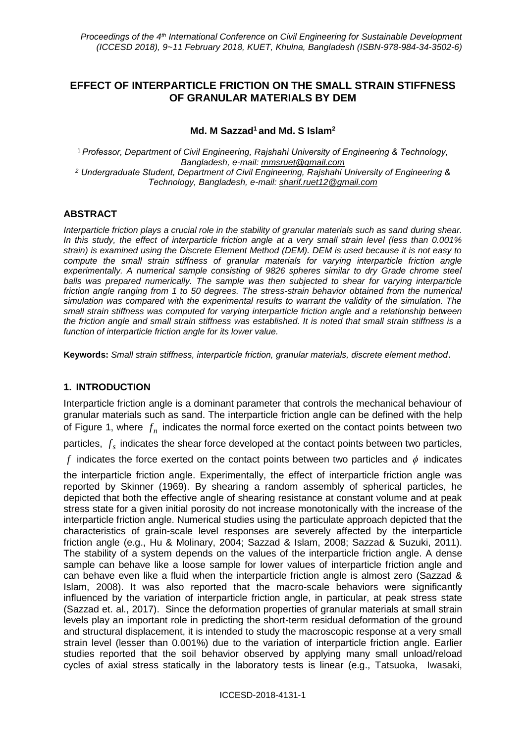# **EFFECT OF INTERPARTICLE FRICTION ON THE SMALL STRAIN STIFFNESS OF GRANULAR MATERIALS BY DEM**

### **Md. M Sazzad<sup>1</sup> and Md. S Islam<sup>2</sup>**

<sup>1</sup> *Professor, Department of Civil Engineering, Rajshahi University of Engineering & Technology, Bangladesh, e-mail: mmsruet@gmail.com <sup>2</sup> Undergraduate Student, Department of Civil Engineering, Rajshahi University of Engineering & Technology, Bangladesh, e-mail: sharif.ruet12@gmail.com*

### **ABSTRACT**

*Interparticle friction plays a crucial role in the stability of granular materials such as sand during shear. In this study, the effect of interparticle friction angle at a very small strain level (less than 0.001% strain) is examined using the Discrete Element Method (DEM). DEM is used because it is not easy to compute the small strain stiffness of granular materials for varying interparticle friction angle experimentally. A numerical sample consisting of 9826 spheres similar to dry Grade chrome steel balls was prepared numerically. The sample was then subjected to shear for varying interparticle friction angle ranging from 1 to 50 degrees. The stress-strain behavior obtained from the numerical simulation was compared with the experimental results to warrant the validity of the simulation. The small strain stiffness was computed for varying interparticle friction angle and a relationship between the friction angle and small strain stiffness was established. It is noted that small strain stiffness is a function of interparticle friction angle for its lower value.*

**Keywords:** *Small strain stiffness, interparticle friction, granular materials, discrete element method.*

### **1. INTRODUCTION**

Interparticle friction angle is a dominant parameter that controls the mechanical behaviour of granular materials such as sand. The interparticle friction angle can be defined with the help of Figure 1, where  $f_n$  indicates the normal force exerted on the contact points between two

particles,  $f_s$  indicates the shear force developed at the contact points between two particles,

f indicates the force exerted on the contact points between two particles and  $\phi$  indicates

the interparticle friction angle. Experimentally, the effect of interparticle friction angle was reported by Skinner (1969). By shearing a random assembly of spherical particles, he depicted that both the effective angle of shearing resistance at constant volume and at peak stress state for a given initial porosity do not increase monotonically with the increase of the interparticle friction angle. Numerical studies using the particulate approach depicted that the characteristics of grain-scale level responses are severely affected by the interparticle friction angle (e.g., Hu & Molinary, 2004; Sazzad & Islam, 2008; Sazzad & Suzuki, 2011). The stability of a system depends on the values of the interparticle friction angle. A dense sample can behave like a loose sample for lower values of interparticle friction angle and can behave even like a fluid when the interparticle friction angle is almost zero (Sazzad & Islam, 2008). It was also reported that the macro-scale behaviors were significantly influenced by the variation of interparticle friction angle, in particular, at peak stress state (Sazzad et. al., 2017). Since the deformation properties of granular materials at small strain levels play an important role in predicting the short-term residual deformation of the ground and structural displacement, it is intended to study the macroscopic response at a very small strain level (lesser than 0.001%) due to the variation of interparticle friction angle. Earlier studies reported that the soil behavior observed by applying many small unload/reload cycles of axial stress statically in the laboratory tests is linear (e.g., Tatsuoka, Iwasaki,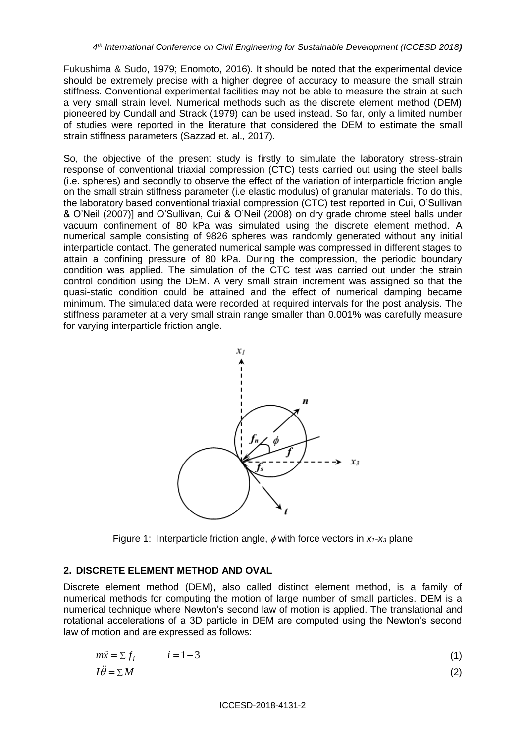Fukushima & Sudo, 1979; Enomoto, 2016). It should be noted that the experimental device should be extremely precise with a higher degree of accuracy to measure the small strain stiffness. Conventional experimental facilities may not be able to measure the strain at such a very small strain level. Numerical methods such as the discrete element method (DEM) pioneered by Cundall and Strack (1979) can be used instead. So far, only a limited number of studies were reported in the literature that considered the DEM to estimate the small strain stiffness parameters (Sazzad et. al., 2017).

So, the objective of the present study is firstly to simulate the laboratory stress-strain response of conventional triaxial compression (CTC) tests carried out using the steel balls (i.e. spheres) and secondly to observe the effect of the variation of interparticle friction angle on the small strain stiffness parameter (i.e elastic modulus) of granular materials. To do this, the laboratory based conventional triaxial compression (CTC) test reported in Cui, O'Sullivan & O'Neil (2007)] and O'Sullivan, Cui & O'Neil (2008) on dry grade chrome steel balls under vacuum confinement of 80 kPa was simulated using the discrete element method. A numerical sample consisting of 9826 spheres was randomly generated without any initial interparticle contact. The generated numerical sample was compressed in different stages to attain a confining pressure of 80 kPa. During the compression, the periodic boundary condition was applied. The simulation of the CTC test was carried out under the strain control condition using the DEM. A very small strain increment was assigned so that the quasi-static condition could be attained and the effect of numerical damping became minimum. The simulated data were recorded at required intervals for the post analysis. The stiffness parameter at a very small strain range smaller than 0.001% was carefully measure for varying interparticle friction angle.



Figure 1: Interparticle friction angle,  $\phi$  with force vectors in  $x_1$ - $x_3$  plane

### **2. DISCRETE ELEMENT METHOD AND OVAL**

Discrete element method (DEM), also called distinct element method, is a family of numerical methods for computing the motion of large number of small particles. DEM is a numerical technique where Newton's second law of motion is applied. The translational and rotational accelerations of a 3D particle in DEM are computed using the Newton's second law of motion and are expressed as follows:

$$
m\ddot{x} = \sum f_i \qquad i = 1 - 3 \tag{1}
$$
  

$$
I\ddot{\theta} = \sum M \tag{2}
$$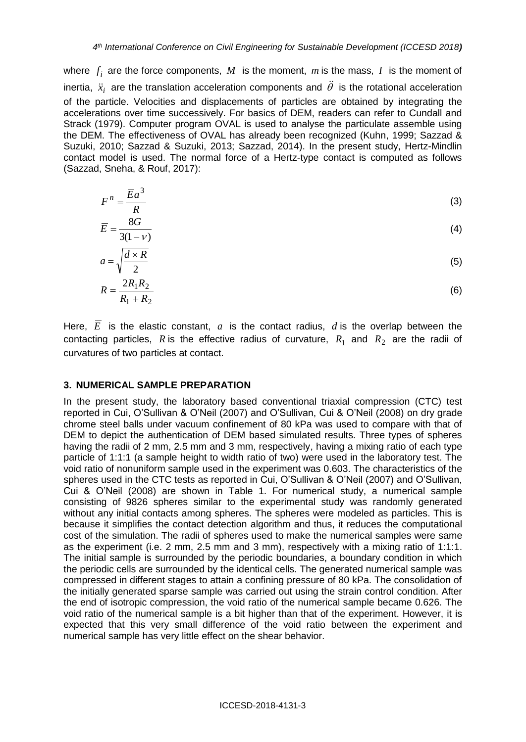where  $f_i$  are the force components,  $M$  is the moment,  $m$  is the mass,  $I$  is the moment of inertia,  $\ddot{x}_i$  are the translation acceleration components and  $\ddot{\theta}$  is the rotational acceleration of the particle. Velocities and displacements of particles are obtained by integrating the accelerations over time successively. For basics of DEM, readers can refer to Cundall and Strack (1979). Computer program OVAL is used to analyse the particulate assemble using the DEM. The effectiveness of OVAL has already been recognized (Kuhn, 1999; Sazzad & Suzuki, 2010; Sazzad & Suzuki, 2013; Sazzad, 2014). In the present study, Hertz-Mindlin contact model is used. The normal force of a Hertz-type contact is computed as follows (Sazzad, Sneha, & Rouf, 2017):

$$
F^n = \frac{\overline{E}a^3}{R} \tag{3}
$$

$$
\overline{E} = \frac{8G}{3(1-\nu)}\tag{4}
$$

$$
a = \sqrt{\frac{d \times R}{2}}\tag{5}
$$

$$
R = \frac{2R_1R_2}{R_1 + R_2} \tag{6}
$$

Here,  $E$  is the elastic constant,  $a$  is the contact radius,  $d$  is the overlap between the contacting particles, R is the effective radius of curvature,  $R_1$  and  $R_2$  are the radii of curvatures of two particles at contact.

### **3. NUMERICAL SAMPLE PREPARATION**

In the present study, the laboratory based conventional triaxial compression (CTC) test reported in Cui, O'Sullivan & O'Neil (2007) and O'Sullivan, Cui & O'Neil (2008) on dry grade chrome steel balls under vacuum confinement of 80 kPa was used to compare with that of DEM to depict the authentication of DEM based simulated results. Three types of spheres having the radii of 2 mm, 2.5 mm and 3 mm, respectively, having a mixing ratio of each type particle of 1:1:1 (a sample height to width ratio of two) were used in the laboratory test. The void ratio of nonuniform sample used in the experiment was 0.603. The characteristics of the spheres used in the CTC tests as reported in Cui, O'Sullivan & O'Neil (2007) and O'Sullivan, Cui & O'Neil (2008) are shown in Table 1. For numerical study, a numerical sample consisting of 9826 spheres similar to the experimental study was randomly generated without any initial contacts among spheres. The spheres were modeled as particles. This is because it simplifies the contact detection algorithm and thus, it reduces the computational cost of the simulation. The radii of spheres used to make the numerical samples were same as the experiment (i.e. 2 mm, 2.5 mm and 3 mm), respectively with a mixing ratio of 1:1:1. The initial sample is surrounded by the periodic boundaries, a boundary condition in which the periodic cells are surrounded by the identical cells. The generated numerical sample was compressed in different stages to attain a confining pressure of 80 kPa. The consolidation of the initially generated sparse sample was carried out using the strain control condition. After the end of isotropic compression, the void ratio of the numerical sample became 0.626. The void ratio of the numerical sample is a bit higher than that of the experiment. However, it is expected that this very small difference of the void ratio between the experiment and numerical sample has very little effect on the shear behavior.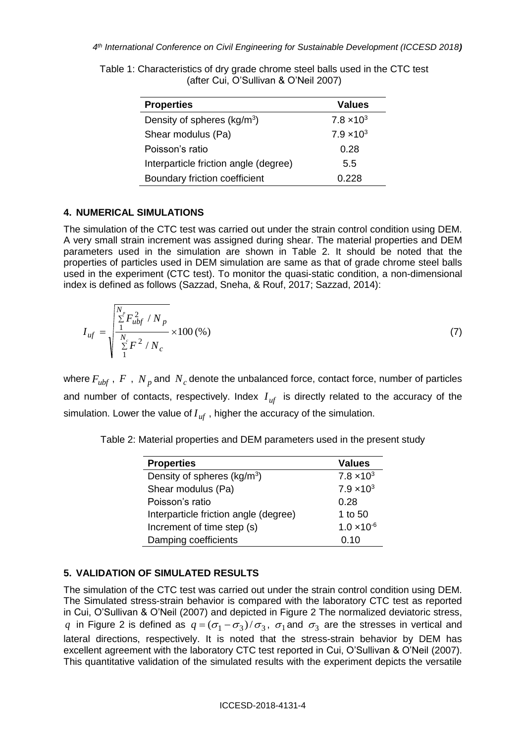| <b>Properties</b>                       | <b>Values</b>       |
|-----------------------------------------|---------------------|
| Density of spheres (kg/m <sup>3</sup> ) | $7.8 \times 10^{3}$ |
| Shear modulus (Pa)                      | $7.9 \times 10^{3}$ |
| Poisson's ratio                         | 0.28                |
| Interparticle friction angle (degree)   | 5.5                 |
| Boundary friction coefficient           | 0.228               |

Table 1: Characteristics of dry grade chrome steel balls used in the CTC test (after Cui, O'Sullivan & O'Neil 2007)

## **4. NUMERICAL SIMULATIONS**

The simulation of the CTC test was carried out under the strain control condition using DEM. A very small strain increment was assigned during shear. The material properties and DEM parameters used in the simulation are shown in Table 2. It should be noted that the properties of particles used in DEM simulation are same as that of grade chrome steel balls used in the experiment (CTC test). To monitor the quasi-static condition, a non-dimensional index is defined as follows (Sazzad, Sneha, & Rouf, 2017; Sazzad, 2014):

$$
I_{uf} = \sqrt{\frac{\sum_{i=1}^{N_p} F_{ubf}^2 / N_p}{\sum_{i=1}^{N_c} F^2 / N_c}} \times 100\,(%)
$$
 (7)

where  $F_{ubf}$  ,  $F$  ,  $N_p$  and  $N_c$  denote the unbalanced force, contact force, number of particles and number of contacts, respectively. Index  $I_{uf}$  is directly related to the accuracy of the simulation. Lower the value of  $I_{uf}$  , higher the accuracy of the simulation.

Table 2: Material properties and DEM parameters used in the present study

| <b>Properties</b>                       | <b>Values</b>        |
|-----------------------------------------|----------------------|
| Density of spheres (kg/m <sup>3</sup> ) | $7.8 \times 10^{3}$  |
| Shear modulus (Pa)                      | $7.9 \times 10^{3}$  |
| Poisson's ratio                         | 0.28                 |
| Interparticle friction angle (degree)   | 1 to $50$            |
| Increment of time step (s)              | $1.0 \times 10^{-6}$ |
| Damping coefficients                    | 0.10                 |

# **5. VALIDATION OF SIMULATED RESULTS**

The simulation of the CTC test was carried out under the strain control condition using DEM. The Simulated stress-strain behavior is compared with the laboratory CTC test as reported in Cui, O'Sullivan & O'Neil (2007) and depicted in Figure 2 The normalized deviatoric stress,  $q$  in Figure 2 is defined as  $q = (\sigma_1 - \sigma_3)/\sigma_3$ ,  $\sigma_1$  and  $\sigma_3$  are the stresses in vertical and lateral directions, respectively. It is noted that the stress-strain behavior by DEM has excellent agreement with the laboratory CTC test reported in Cui, O'Sullivan & O'Neil (2007). This quantitative validation of the simulated results with the experiment depicts the versatile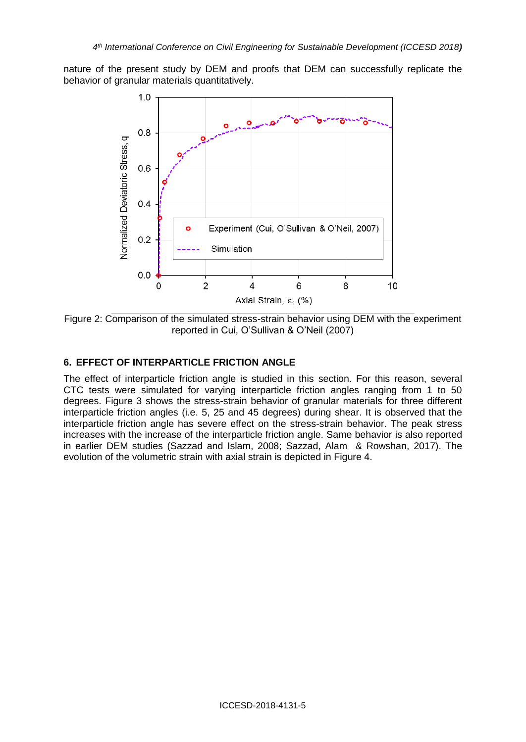nature of the present study by DEM and proofs that DEM can successfully replicate the behavior of granular materials quantitatively.



Figure 2: Comparison of the simulated stress-strain behavior using DEM with the experiment reported in Cui, O'Sullivan & O'Neil (2007)

### **6. EFFECT OF INTERPARTICLE FRICTION ANGLE**

The effect of interparticle friction angle is studied in this section. For this reason, several CTC tests were simulated for varying interparticle friction angles ranging from 1 to 50 degrees. Figure 3 shows the stress-strain behavior of granular materials for three different interparticle friction angles (i.e. 5, 25 and 45 degrees) during shear. It is observed that the interparticle friction angle has severe effect on the stress-strain behavior. The peak stress increases with the increase of the interparticle friction angle. Same behavior is also reported in earlier DEM studies (Sazzad and Islam, 2008; Sazzad, Alam & Rowshan, 2017). The evolution of the volumetric strain with axial strain is depicted in Figure 4.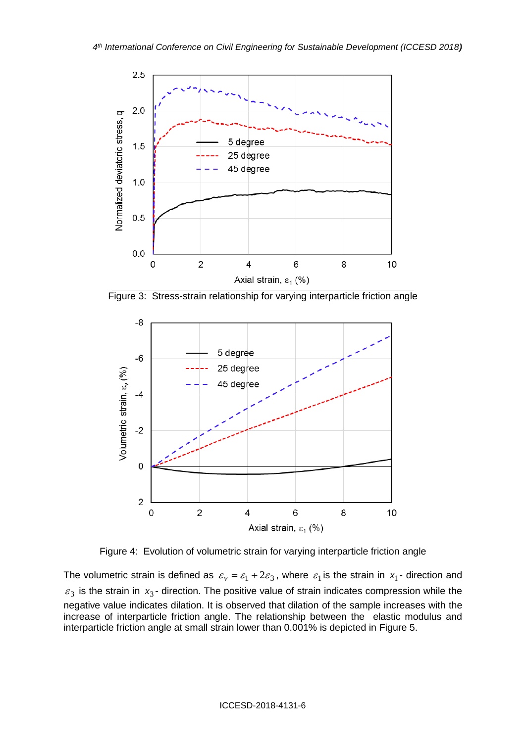

Figure 3: Stress-strain relationship for varying interparticle friction angle



Figure 4: Evolution of volumetric strain for varying interparticle friction angle

The volumetric strain is defined as  $\varepsilon_v = \varepsilon_1 + 2\varepsilon_3$ , where  $\varepsilon_1$  is the strain in  $x_1$ - direction and  $\varepsilon_3$  is the strain in  $x_3$ - direction. The positive value of strain indicates compression while the negative value indicates dilation. It is observed that dilation of the sample increases with the increase of interparticle friction angle. The relationship between the elastic modulus and interparticle friction angle at small strain lower than 0.001% is depicted in Figure 5.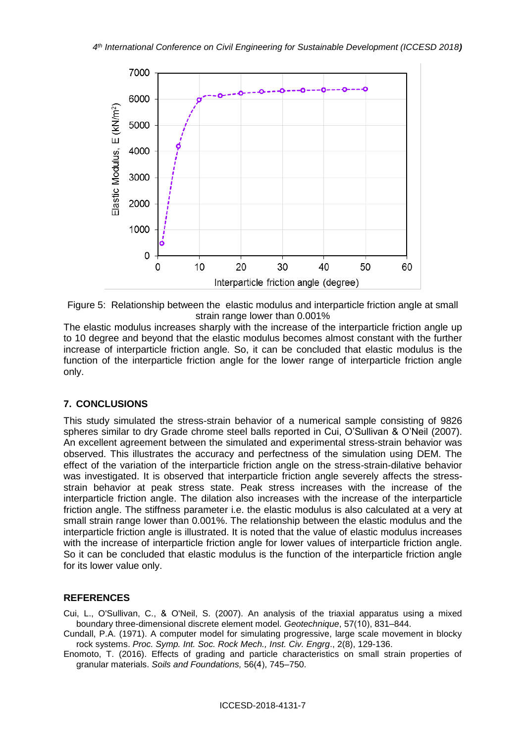

Figure 5: Relationship between the elastic modulus and interparticle friction angle at small strain range lower than 0.001%

The elastic modulus increases sharply with the increase of the interparticle friction angle up to 10 degree and beyond that the elastic modulus becomes almost constant with the further increase of interparticle friction angle. So, it can be concluded that elastic modulus is the function of the interparticle friction angle for the lower range of interparticle friction angle only.

## **7. CONCLUSIONS**

This study simulated the stress-strain behavior of a numerical sample consisting of 9826 spheres similar to dry Grade chrome steel balls reported in Cui, O'Sullivan & O'Neil (2007). An excellent agreement between the simulated and experimental stress-strain behavior was observed. This illustrates the accuracy and perfectness of the simulation using DEM. The effect of the variation of the interparticle friction angle on the stress-strain-dilative behavior was investigated. It is observed that interparticle friction angle severely affects the stressstrain behavior at peak stress state. Peak stress increases with the increase of the interparticle friction angle. The dilation also increases with the increase of the interparticle friction angle. The stiffness parameter i.e. the elastic modulus is also calculated at a very at small strain range lower than 0.001%. The relationship between the elastic modulus and the interparticle friction angle is illustrated. It is noted that the value of elastic modulus increases with the increase of interparticle friction angle for lower values of interparticle friction angle. So it can be concluded that elastic modulus is the function of the interparticle friction angle for its lower value only.

### **REFERENCES**

Cui, L., O'Sullivan, C., & O'Neil, S. (2007). An analysis of the triaxial apparatus using a mixed boundary three-dimensional discrete element model. *Geotechnique*, 57(10), 831–844.

Cundall, P.A. (1971). A computer model for simulating progressive, large scale movement in blocky rock systems. *Proc. Symp. Int. Soc. Rock Mech., Inst. Civ. Engrg*., 2(8), 129-136.

Enomoto, T. (2016). Effects of grading and particle characteristics on small strain properties of granular materials. *Soils and Foundations,* 56(4), 745–750.